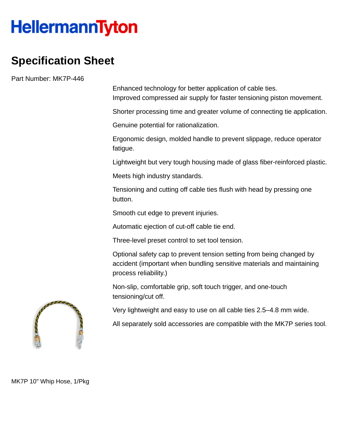## **HellermannTyton**

## **Specification Sheet**

Part Number: MK7P-446

Enhanced technology for better application of cable ties. Improved compressed air supply for faster tensioning piston movement.

Shorter processing time and greater volume of connecting tie application.

Genuine potential for rationalization.

Ergonomic design, molded handle to prevent slippage, reduce operator fatigue.

Lightweight but very tough housing made of glass fiber-reinforced plastic.

Meets high industry standards.

Tensioning and cutting off cable ties flush with head by pressing one button.

Smooth cut edge to prevent injuries.

Automatic ejection of cut-off cable tie end.

Three-level preset control to set tool tension.

Optional safety cap to prevent tension setting from being changed by accident (important when bundling sensitive materials and maintaining process reliability.)

Non-slip, comfortable grip, soft touch trigger, and one-touch tensioning/cut off.

Very lightweight and easy to use on all cable ties 2.5–4.8 mm wide.

All separately sold accessories are compatible with the MK7P series tool.



MK7P 10" Whip Hose, 1/Pkg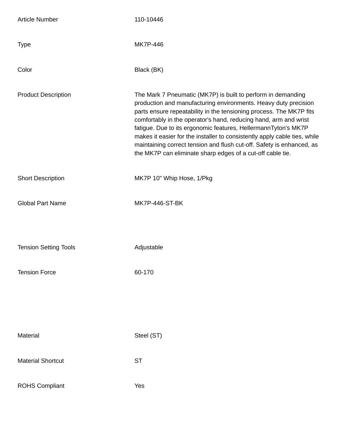| <b>Article Number</b>        | 110-10446                                                                                                                                                                                                                                                                                                                                                                                                                                                                                                                                                        |
|------------------------------|------------------------------------------------------------------------------------------------------------------------------------------------------------------------------------------------------------------------------------------------------------------------------------------------------------------------------------------------------------------------------------------------------------------------------------------------------------------------------------------------------------------------------------------------------------------|
| <b>Type</b>                  | <b>MK7P-446</b>                                                                                                                                                                                                                                                                                                                                                                                                                                                                                                                                                  |
| Color                        | Black (BK)                                                                                                                                                                                                                                                                                                                                                                                                                                                                                                                                                       |
| <b>Product Description</b>   | The Mark 7 Pneumatic (MK7P) is built to perform in demanding<br>production and manufacturing environments. Heavy duty precision<br>parts ensure repeatability in the tensioning process. The MK7P fits<br>comfortably in the operator's hand, reducing hand, arm and wrist<br>fatigue. Due to its ergonomic features, HellermannTyton's MK7P<br>makes it easier for the installer to consistently apply cable ties, while<br>maintaining correct tension and flush cut-off. Safety is enhanced, as<br>the MK7P can eliminate sharp edges of a cut-off cable tie. |
| <b>Short Description</b>     | MK7P 10" Whip Hose, 1/Pkg                                                                                                                                                                                                                                                                                                                                                                                                                                                                                                                                        |
| <b>Global Part Name</b>      | <b>MK7P-446-ST-BK</b>                                                                                                                                                                                                                                                                                                                                                                                                                                                                                                                                            |
| <b>Tension Setting Tools</b> | Adjustable                                                                                                                                                                                                                                                                                                                                                                                                                                                                                                                                                       |
| <b>Tension Force</b>         | 60-170                                                                                                                                                                                                                                                                                                                                                                                                                                                                                                                                                           |
| Material                     | Steel (ST)                                                                                                                                                                                                                                                                                                                                                                                                                                                                                                                                                       |
| <b>Material Shortcut</b>     | <b>ST</b>                                                                                                                                                                                                                                                                                                                                                                                                                                                                                                                                                        |
| <b>ROHS Compliant</b>        | Yes                                                                                                                                                                                                                                                                                                                                                                                                                                                                                                                                                              |